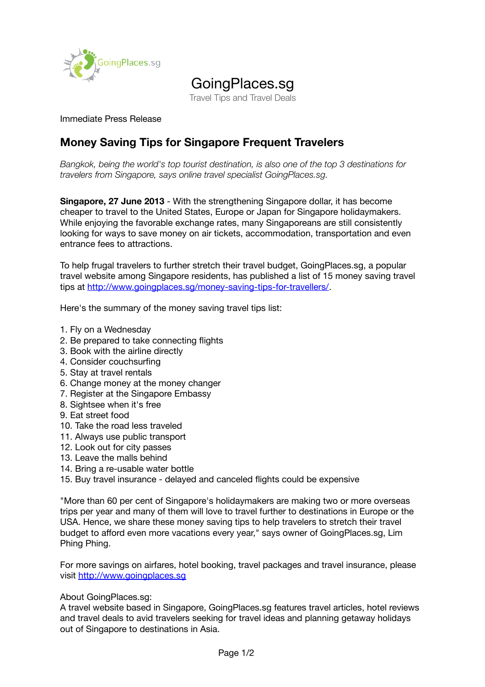

## GoingPlaces.sg

Travel Tips and Travel Deals

## Immediate Press Release

## **Money Saving Tips for Singapore Frequent Travelers**

*Bangkok, being the world's top tourist destination, is also one of the top 3 destinations for travelers from Singapore, says online travel specialist GoingPlaces.sg.*

**Singapore, 27 June 2013** - With the strengthening Singapore dollar, it has become cheaper to travel to the United States, Europe or Japan for Singapore holidaymakers. While enjoying the favorable exchange rates, many Singaporeans are still consistently looking for ways to save money on air tickets, accommodation, transportation and even entrance fees to attractions.

To help frugal travelers to further stretch their travel budget, GoingPlaces.sg, a popular travel website among Singapore residents, has published a list of 15 money saving travel tips at [http://www.goingplaces.sg/money-saving-tips-for-travellers/.](http://www.goingplaces.sg/money-saving-tips-for-travellers/)

Here's the summary of the money saving travel tips list:

- 1. Fly on a Wednesday
- 2. Be prepared to take connecting flights
- 3. Book with the airline directly
- 4. Consider couchsurfing
- 5. Stay at travel rentals
- 6. Change money at the money changer
- 7. Register at the Singapore Embassy
- 8. Sightsee when it's free
- 9. Eat street food
- 10. Take the road less traveled
- 11. Always use public transport
- 12. Look out for city passes
- 13. Leave the malls behind
- 14. Bring a re-usable water bottle
- 15. Buy travel insurance delayed and canceled flights could be expensive

"More than 60 per cent of Singapore's holidaymakers are making two or more overseas trips per year and many of them will love to travel further to destinations in Europe or the USA. Hence, we share these money saving tips to help travelers to stretch their travel budget to afford even more vacations every year," says owner of GoingPlaces.sg, Lim Phing Phing.

For more savings on airfares, hotel booking, travel packages and travel insurance, please visit [http://www.goingplaces.sg](http://www.goingplaces.sg/)

About GoingPlaces.sg:

A travel website based in Singapore, GoingPlaces.sg features travel articles, hotel reviews and travel deals to avid travelers seeking for travel ideas and planning getaway holidays out of Singapore to destinations in Asia.